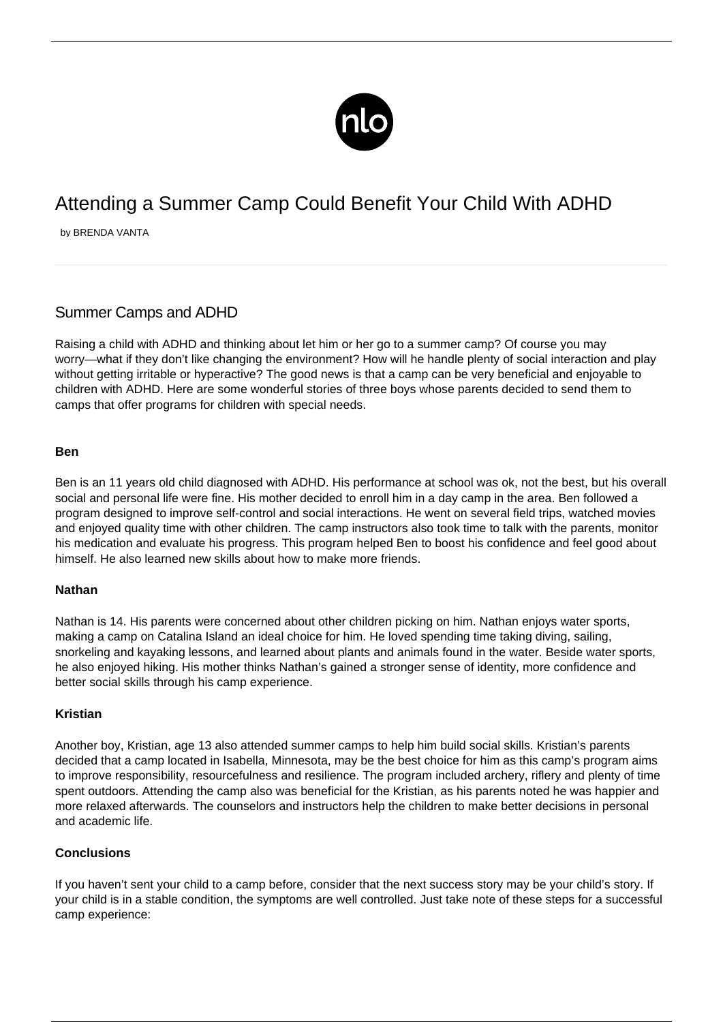

# Attending a Summer Camp Could Benefit Your Child With ADHD

by BRENDA VANTA

# Summer Camps and ADHD

Raising a child with ADHD and thinking about let him or her go to a summer camp? Of course you may worry—what if they don't like changing the environment? How will he handle plenty of social interaction and play without getting irritable or hyperactive? The good news is that a camp can be very beneficial and enjoyable to children with ADHD. Here are some wonderful stories of three boys whose parents decided to send them to camps that offer programs for children with special needs.

#### **Ben**

Ben is an 11 years old child [diagnosed with ADHD](/diagnosis-of-adhd/). His performance at school was ok, not the best, but his overall social and personal life were fine. His mother decided to enroll him in a day camp in the area. Ben followed a program designed to improve self-control and social interactions. He went on several field trips, watched movies and enjoyed quality time with other children. The camp instructors also took time to talk with the parents, monitor his medication and evaluate his progress. This program helped Ben to boost his confidence and feel good about himself. He also learned new skills about how to make more friends.

## **Nathan**

Nathan is 14. His parents were concerned about other children picking on him. Nathan enjoys water sports, making a camp on Catalina Island an ideal choice for him. He loved spending time taking diving, sailing, snorkeling and kayaking lessons, and learned about plants and animals found in the water. Beside water sports, he also enjoyed hiking. His mother thinks Nathan's gained a stronger sense of identity, more confidence and better social skills through his camp experience.

#### **Kristian**

Another boy, Kristian, age 13 also attended summer camps to help him build social skills. Kristian's parents decided that a camp located in Isabella, Minnesota, may be the best choice for him as this camp's program aims to improve responsibility, resourcefulness and resilience. The program included archery, riflery and plenty of time spent outdoors. Attending the camp also was beneficial for the Kristian, as his parents noted he was happier and more relaxed afterwards. The counselors and instructors help the children to make better decisions in personal and academic life.

## **Conclusions**

If you haven't sent your child to a camp before, consider that the next success story may be your child's story. If your child is in a stable condition, the symptoms are well controlled. Just take note of these steps for a successful camp experience: